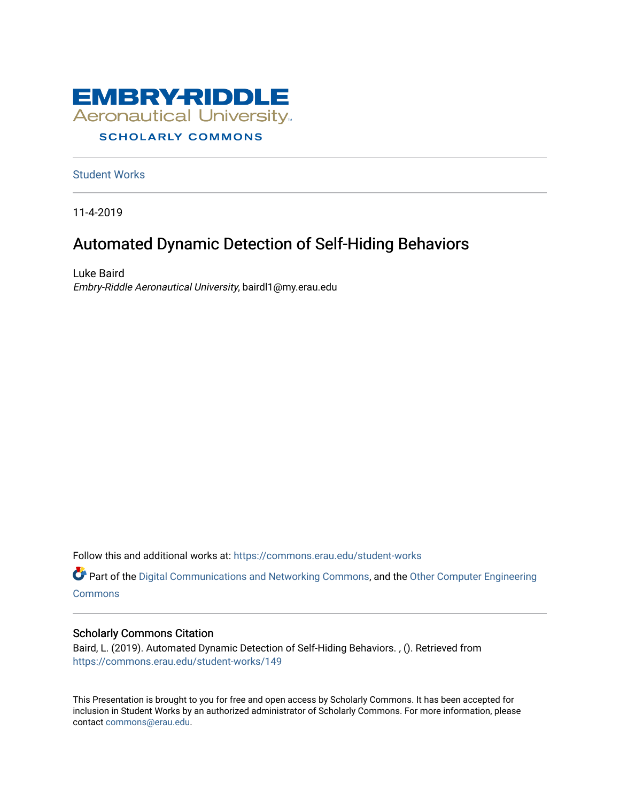

#### **SCHOLARLY COMMONS**

[Student Works](https://commons.erau.edu/student-works)

11-4-2019

#### Automated Dynamic Detection of Self-Hiding Behaviors

Luke Baird Embry-Riddle Aeronautical University, bairdl1@my.erau.edu

Follow this and additional works at: [https://commons.erau.edu/student-works](https://commons.erau.edu/student-works?utm_source=commons.erau.edu%2Fstudent-works%2F149&utm_medium=PDF&utm_campaign=PDFCoverPages) 

Part of the [Digital Communications and Networking Commons,](http://network.bepress.com/hgg/discipline/262?utm_source=commons.erau.edu%2Fstudent-works%2F149&utm_medium=PDF&utm_campaign=PDFCoverPages) and the Other Computer Engineering **[Commons](http://network.bepress.com/hgg/discipline/265?utm_source=commons.erau.edu%2Fstudent-works%2F149&utm_medium=PDF&utm_campaign=PDFCoverPages)** 

#### Scholarly Commons Citation

Baird, L. (2019). Automated Dynamic Detection of Self-Hiding Behaviors. , (). Retrieved from [https://commons.erau.edu/student-works/149](https://commons.erau.edu/student-works/149?utm_source=commons.erau.edu%2Fstudent-works%2F149&utm_medium=PDF&utm_campaign=PDFCoverPages) 

This Presentation is brought to you for free and open access by Scholarly Commons. It has been accepted for inclusion in Student Works by an authorized administrator of Scholarly Commons. For more information, please contact [commons@erau.edu.](mailto:commons@erau.edu)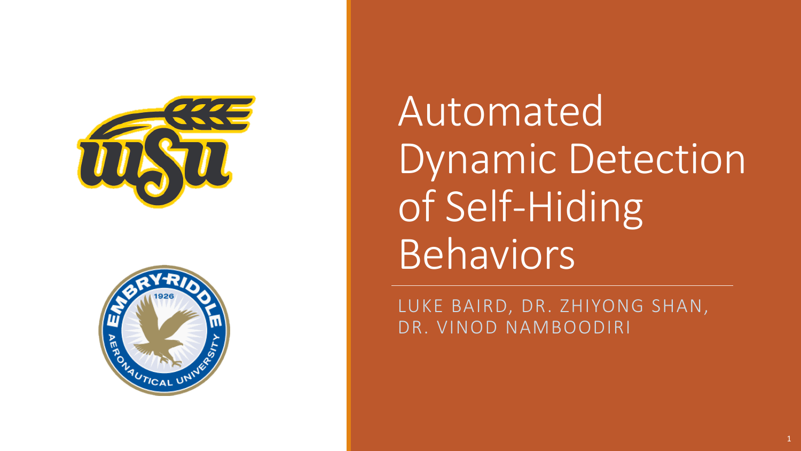



Automated Dynamic Detection of Self-Hiding Behaviors

LUKE BAIRD, DR. ZHIYONG SHAN, DR. VINOD NAMBOODIRI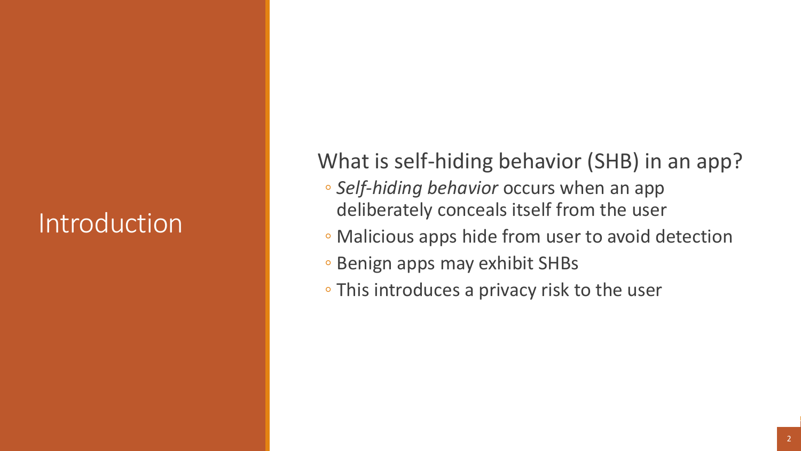## Introduction

What is self-hiding behavior (SHB) in an app?

- *Self-hiding behavior* occurs when an app deliberately conceals itself from the user
- Malicious apps hide from user to avoid detection
- Benign apps may exhibit SHBs
- This introduces a privacy risk to the user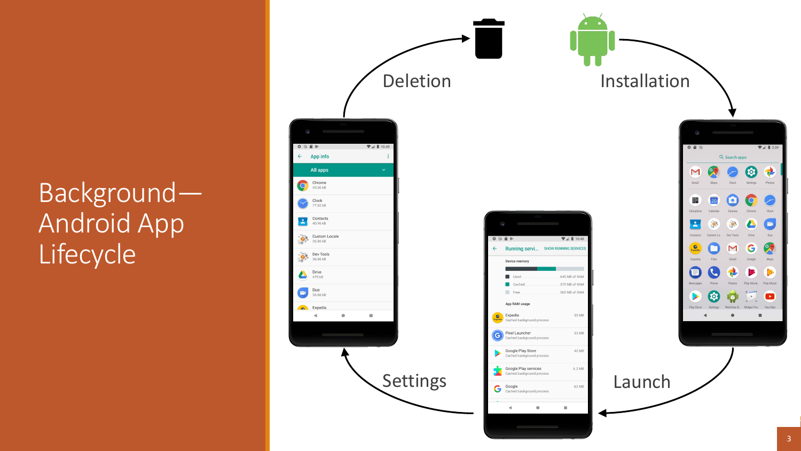## Background— Android App Lifecycle<sup>1</sup>

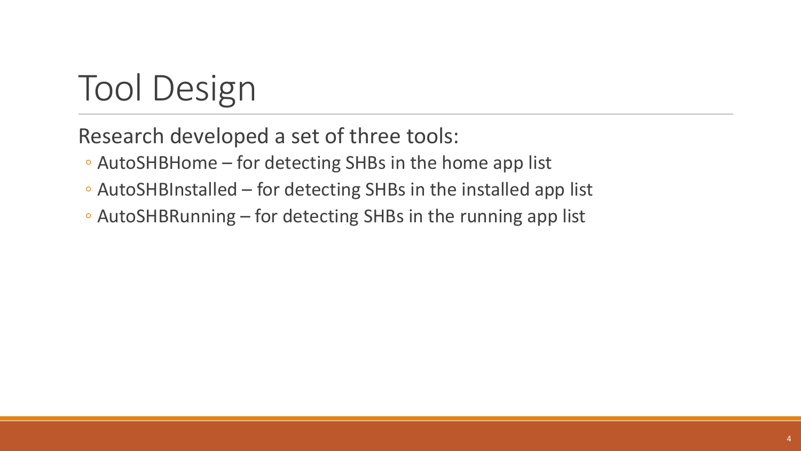# Tool Design

Research developed a set of three tools:

- AutoSHBHome for detecting SHBs in the home app list
- AutoSHBInstalled for detecting SHBs in the installed app list
- AutoSHBRunning for detecting SHBs in the running app list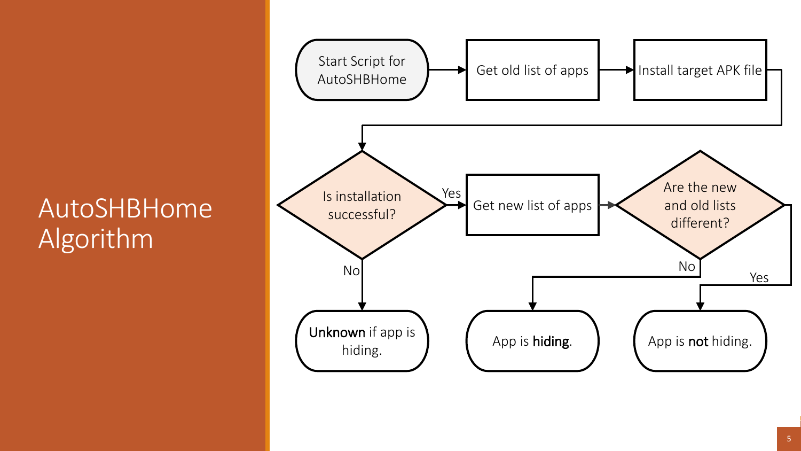#### AutoSHBHome Algorithm

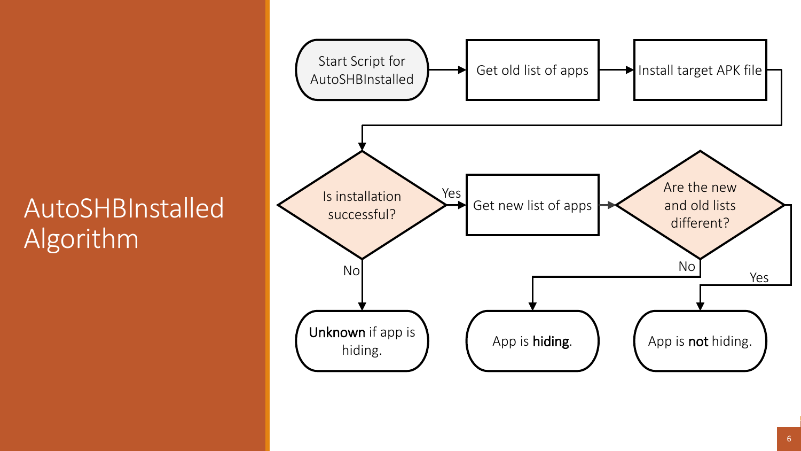#### AutoSHBInstalled Algorithm

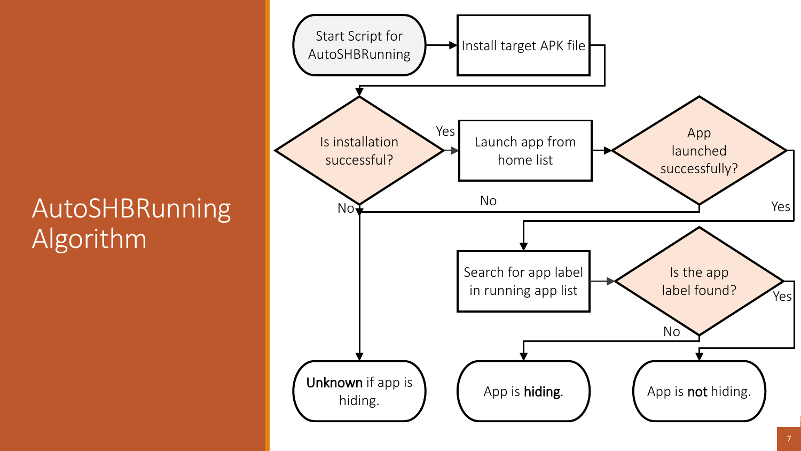#### AutoSHBRunning Algorithm

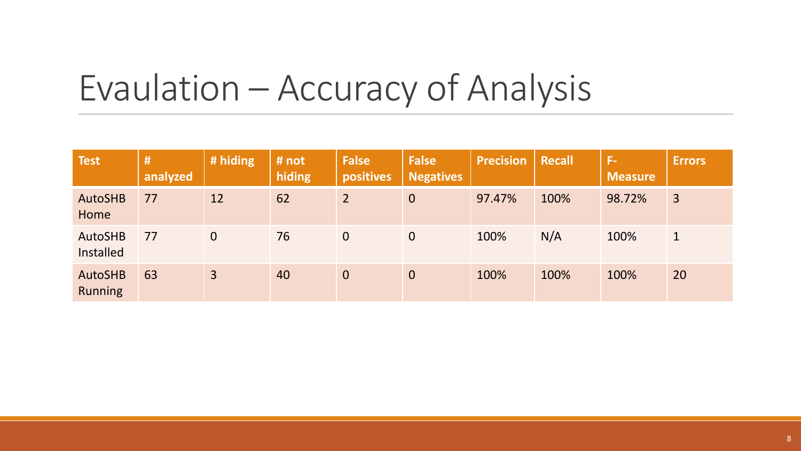# Evaulation – Accuracy of Analysis

| <b>Test</b>                      | #<br>analyzed | # hiding       | # not<br>hiding | <b>False</b><br>positives | <b>False</b><br>Negatives | <b>Precision</b> | <b>Recall</b> | F-<br><b>Measure</b> | <b>Errors</b>  |
|----------------------------------|---------------|----------------|-----------------|---------------------------|---------------------------|------------------|---------------|----------------------|----------------|
| <b>AutoSHB</b><br>Home           | 77            | 12             | 62              | $\overline{2}$            | $\overline{0}$            | 97.47%           | 100%          | 98.72%               | $\overline{3}$ |
| <b>AutoSHB</b><br>Installed      | 77            | $\overline{0}$ | 76              | $\overline{0}$            | $\mathbf 0$               | 100%             | N/A           | 100%                 | 1              |
| <b>AutoSHB</b><br><b>Running</b> | 63            | $\overline{3}$ | 40              | $\overline{0}$            | $\mathbf 0$               | 100%             | 100%          | 100%                 | 20             |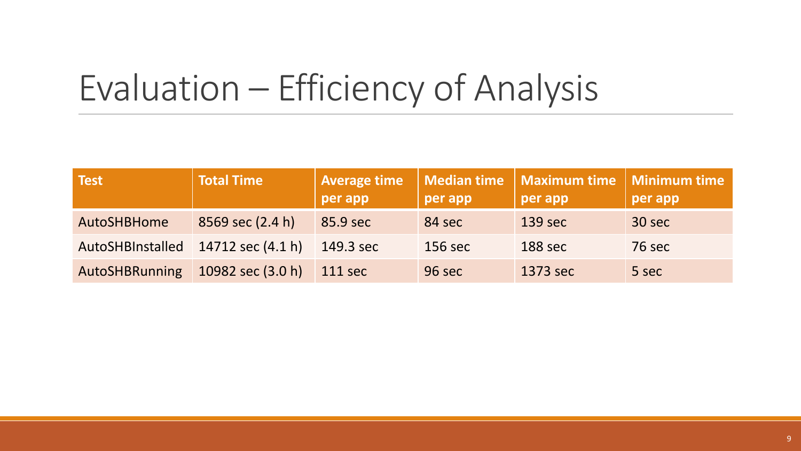# Evaluation – Efficiency of Analysis

| Test                  | <b>Total Time</b>   | <b>Average time</b><br>per app | per app | Median time   Maximum time   Minimum time<br>per app | per app       |
|-----------------------|---------------------|--------------------------------|---------|------------------------------------------------------|---------------|
| AutoSHBHome           | 8569 sec (2.4 h)    | 85.9 sec                       | 84 sec  | 139 sec                                              | 30 sec        |
| AutoSHBInstalled      | 14712 sec $(4.1 h)$ | 149.3 sec                      | 156 sec | 188 sec                                              | <b>76 sec</b> |
| <b>AutoSHBRunning</b> | 10982 sec (3.0 h)   | 111 sec                        | 96 sec  | 1373 sec                                             | 5 sec         |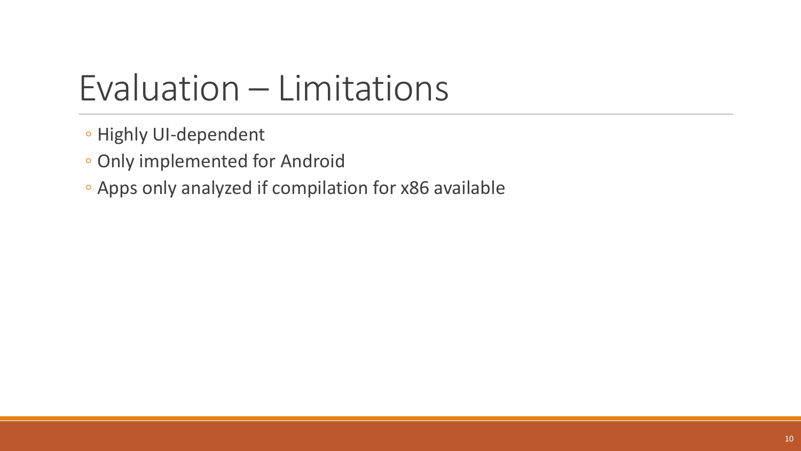# Evaluation – Limitations

- Highly UI-dependent
- Only implemented for Android
- Apps only analyzed if compilation for x86 available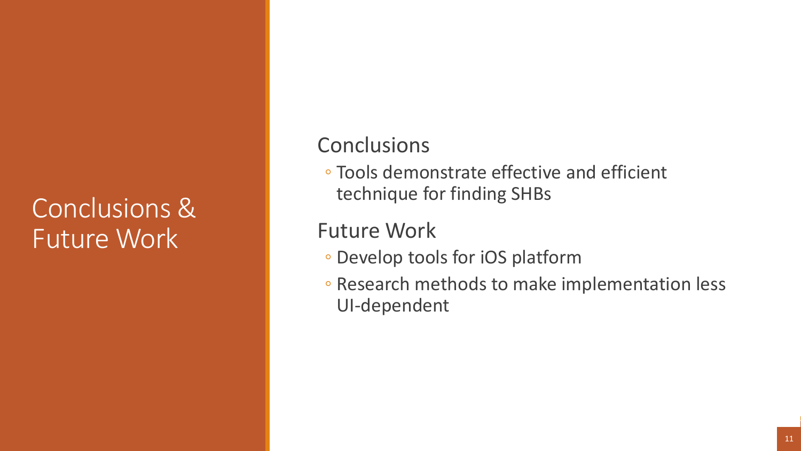#### Conclusions & Future Work

#### **Conclusions**

◦ Tools demonstrate effective and efficient technique for finding SHBs

#### Future Work

- Develop tools for iOS platform
- Research methods to make implementation less UI-dependent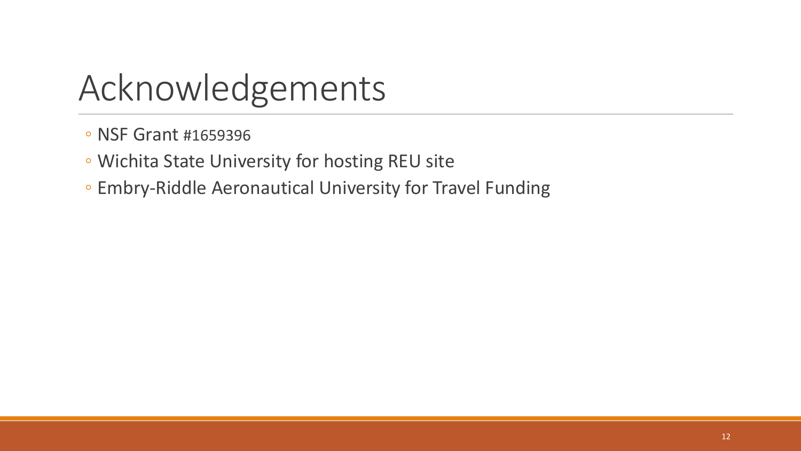## Acknowledgements

- NSF Grant #1659396
- Wichita State University for hosting REU site
- Embry-Riddle Aeronautical University for Travel Funding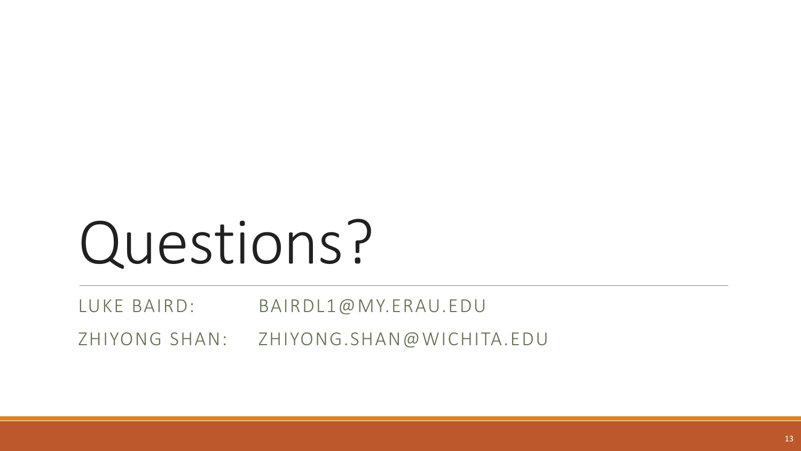# Questions?

LUKE BAIRD: BAIRDL1@MY.ERAU.EDU

ZHIYONG SHAN: ZHIYONG.SHAN@WICHITA.EDU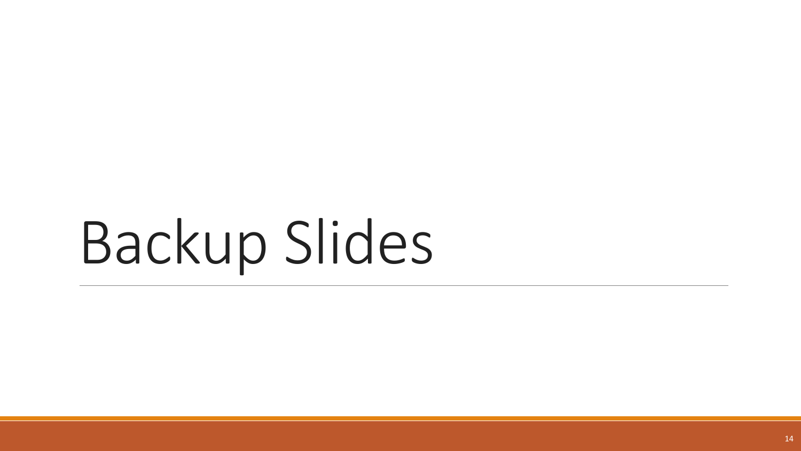# Backup Slides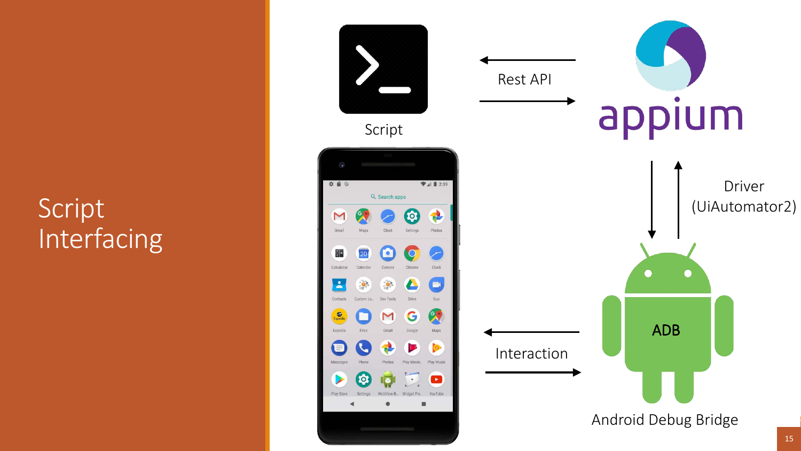### Script Interfacing

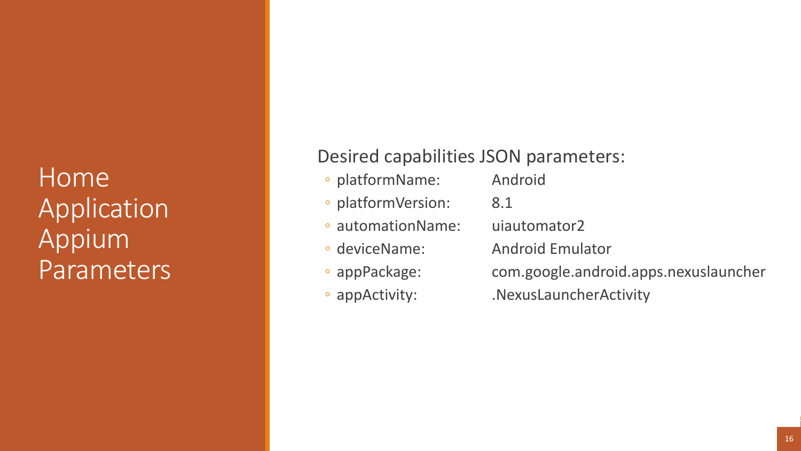Home Application Appium Parameters

#### Desired capabilities JSON parameters:

- platformName: Android
- platformVersion: 8.1
- automationName: uiautomator2
- 
- 
- 
- 
- 
- 
- deviceName: Android Emulator
- appPackage: com.google.android.apps.nexuslauncher
- appActivity: .NexusLauncherActivity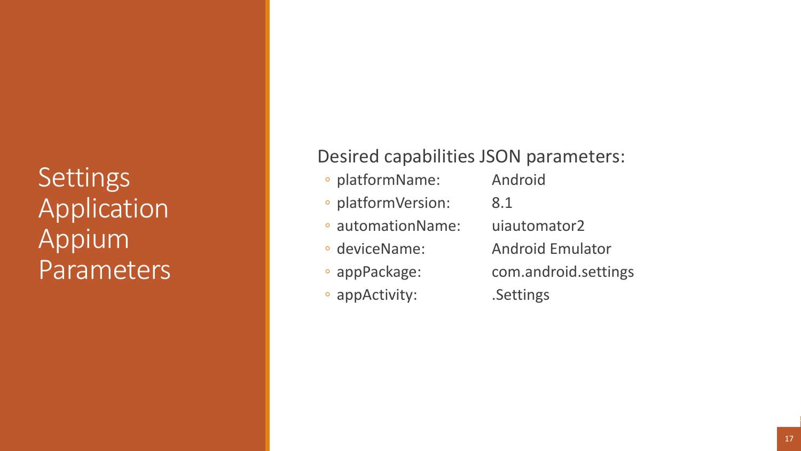**Settings Application** Appium Parameters

#### Desired capabilities JSON parameters:

- platformName: Android
- platformVersion: 8.1
- automationName: uiautomator2
- 
- 
- appActivity: .Settings
- 
- 
- deviceName: Android Emulator
- appPackage: com.android.settings
	-